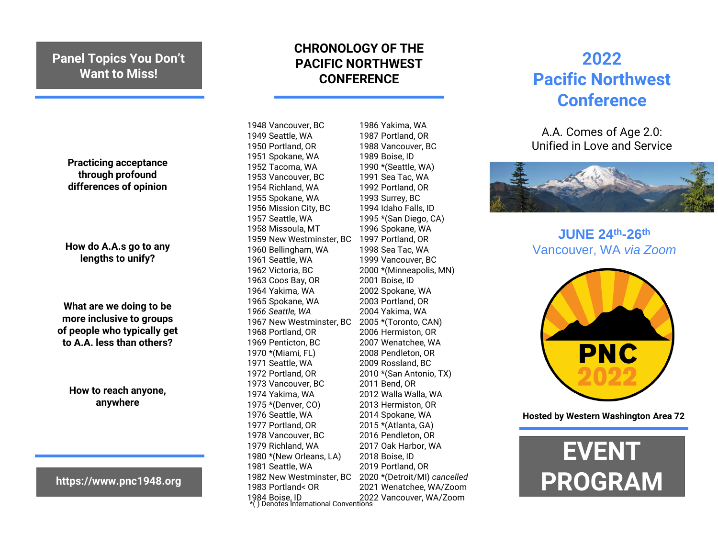## **Panel Topics You Don't Want to Miss!**

**Practicing acceptance through profound differences of opinion**

**How do A.A.s go to any lengths to unify?**

**What are we doing to be more inclusive to groups of people who typically get to A.A. less than others?**

**How to reach anyone, anywhere**

**https://www.pnc1948.org**

## **CHRONOLOGY OF THE PACIFIC NORTHWEST CONFERENCE**

1948 Vancouver, BC 1949 Seattle, WA 1950 Portland, OR 1951 Spokane, WA 1952 Tacoma, WA 1953 Vancouver, BC 1954 Richland, WA 1955 Spokane, WA 1956 Mission City, BC 1957 Seattle, WA 1958 Missoula, MT 1959 New Westminster, BC 1997 Portland, OR 1960 Bellingham, WA 1961 Seattle, WA 1962 Victoria, BC 1963 Coos Bay, OR 1964 Yakima, WA 1965 Spokane, WA 1*966 Seattle, WA* 1967 New Westminster, BC 1968 Portland, OR 1969 Penticton, BC 1970 \*(Miami, FL) 1971 Seattle, WA 1972 Portland, OR 1973 Vancouver, BC 1974 Yakima, WA 1975 \*(Denver, CO) 1976 Seattle, WA 1977 Portland, OR 1978 Vancouver, BC 1979 Richland, WA 1980 \*(New Orleans, LA) 1981 Seattle, WA 1982 New Westminster, BC 1983 Portland< OR 1984 Boise, ID 2022 Vancouver, WA/Zoom \*( ) Denotes International Conventions 1989 Boise, ID 1993 Surrey, BC 2001 Boise, ID 2011 Bend, OR 2018 Boise, ID 2020 \*(Detroit/MI) *cancelled* 2021 Wenatchee, WA/Zoom

1986 Yakima, WA 1987 Portland, OR 1988 Vancouver, BC 1990 \*(Seattle, WA) 1991 Sea Tac, WA 1992 Portland, OR 1994 Idaho Falls, ID 1995 \*(San Diego, CA) 1996 Spokane, WA 1998 Sea Tac, WA 1999 Vancouver, BC 2000 \*(Minneapolis, MN) 2002 Spokane, WA 2003 Portland, OR 2004 Yakima, WA 2005 \*(Toronto, CAN) 2006 Hermiston, OR 2007 Wenatchee, WA 2008 Pendleton, OR 2009 Rossland, BC 2010 \*(San Antonio, TX) 2012 Walla Walla, WA 2013 Hermiston, OR 2014 Spokane, WA 2015 \*(Atlanta, GA) 2016 Pendleton, OR 2017 Oak Harbor, WA 2019 Portland, OR

## **2022 Pacific Northwest Conference**

A.A. Comes of Age 2.0: Unified in Love and Service



**JUNE 24th-26th** Vancouver, WA *via Zoom*



**Hosted by Western Washington Area 72**